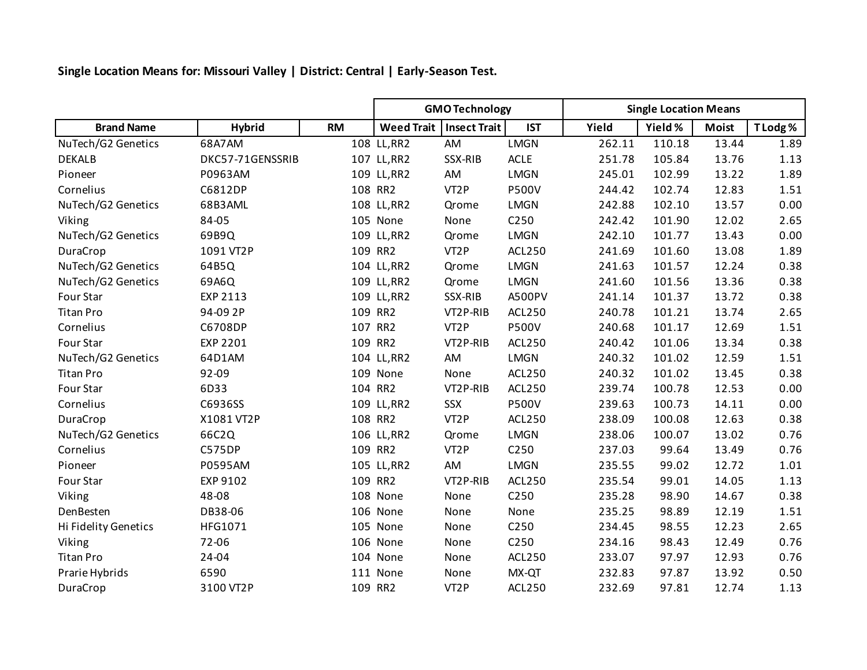**Single Location Means for: Missouri Valley | District: Central | Early-Season Test.**

|                      |                  |           | <b>GMO Technology</b> |                     |                  | <b>Single Location Means</b> |         |              |         |  |
|----------------------|------------------|-----------|-----------------------|---------------------|------------------|------------------------------|---------|--------------|---------|--|
| <b>Brand Name</b>    | <b>Hybrid</b>    | <b>RM</b> | Weed Trait            | <b>Insect Trait</b> | <b>IST</b>       | Yield                        | Yield % | <b>Moist</b> | T Lodg% |  |
| NuTech/G2 Genetics   | 68A7AM           |           | 108 LL, RR2           | AM                  | <b>LMGN</b>      | 262.11                       | 110.18  | 13.44        | 1.89    |  |
| <b>DEKALB</b>        | DKC57-71GENSSRIB |           | 107 LL, RR2           | SSX-RIB             | <b>ACLE</b>      | 251.78                       | 105.84  | 13.76        | 1.13    |  |
| Pioneer              | P0963AM          |           | 109 LL, RR2           | AM                  | <b>LMGN</b>      | 245.01                       | 102.99  | 13.22        | 1.89    |  |
| Cornelius            | C6812DP          |           | 108 RR2               | VT <sub>2</sub> P   | <b>P500V</b>     | 244.42                       | 102.74  | 12.83        | 1.51    |  |
| NuTech/G2 Genetics   | 68B3AML          |           | 108 LL, RR2           | Qrome               | <b>LMGN</b>      | 242.88                       | 102.10  | 13.57        | 0.00    |  |
| Viking               | 84-05            |           | 105 None              | None                | C250             | 242.42                       | 101.90  | 12.02        | 2.65    |  |
| NuTech/G2 Genetics   | 69B9Q            |           | 109 LL, RR2           | Qrome               | <b>LMGN</b>      | 242.10                       | 101.77  | 13.43        | 0.00    |  |
| DuraCrop             | 1091 VT2P        |           | 109 RR2               | VT <sub>2</sub> P   | ACL250           | 241.69                       | 101.60  | 13.08        | 1.89    |  |
| NuTech/G2 Genetics   | 64B5Q            |           | 104 LL, RR2           | Qrome               | <b>LMGN</b>      | 241.63                       | 101.57  | 12.24        | 0.38    |  |
| NuTech/G2 Genetics   | 69A6Q            |           | 109 LL, RR2           | Qrome               | <b>LMGN</b>      | 241.60                       | 101.56  | 13.36        | 0.38    |  |
| Four Star            | EXP 2113         |           | 109 LL, RR2           | SSX-RIB             | A500PV           | 241.14                       | 101.37  | 13.72        | 0.38    |  |
| <b>Titan Pro</b>     | 94-09 2P         |           | 109 RR2               | VT2P-RIB            | ACL250           | 240.78                       | 101.21  | 13.74        | 2.65    |  |
| Cornelius            | C6708DP          |           | 107 RR2               | VT <sub>2</sub> P   | <b>P500V</b>     | 240.68                       | 101.17  | 12.69        | 1.51    |  |
| Four Star            | <b>EXP 2201</b>  |           | 109 RR2               | VT2P-RIB            | ACL250           | 240.42                       | 101.06  | 13.34        | 0.38    |  |
| NuTech/G2 Genetics   | 64D1AM           |           | 104 LL, RR2           | AM                  | <b>LMGN</b>      | 240.32                       | 101.02  | 12.59        | 1.51    |  |
| <b>Titan Pro</b>     | 92-09            |           | 109 None              | None                | ACL250           | 240.32                       | 101.02  | 13.45        | 0.38    |  |
| Four Star            | 6D33             |           | 104 RR2               | VT2P-RIB            | ACL250           | 239.74                       | 100.78  | 12.53        | 0.00    |  |
| Cornelius            | C6936SS          |           | 109 LL, RR2           | SSX                 | <b>P500V</b>     | 239.63                       | 100.73  | 14.11        | 0.00    |  |
| DuraCrop             | X1081 VT2P       |           | 108 RR2               | VT <sub>2</sub> P   | <b>ACL250</b>    | 238.09                       | 100.08  | 12.63        | 0.38    |  |
| NuTech/G2 Genetics   | 66C2Q            |           | 106 LL, RR2           | Qrome               | <b>LMGN</b>      | 238.06                       | 100.07  | 13.02        | 0.76    |  |
| Cornelius            | <b>C575DP</b>    |           | 109 RR2               | VT <sub>2</sub> P   | C <sub>250</sub> | 237.03                       | 99.64   | 13.49        | 0.76    |  |
| Pioneer              | P0595AM          |           | 105 LL, RR2           | AM                  | <b>LMGN</b>      | 235.55                       | 99.02   | 12.72        | 1.01    |  |
| Four Star            | EXP 9102         |           | 109 RR2               | VT2P-RIB            | ACL250           | 235.54                       | 99.01   | 14.05        | 1.13    |  |
| Viking               | 48-08            |           | 108 None              | None                | C250             | 235.28                       | 98.90   | 14.67        | 0.38    |  |
| DenBesten            | DB38-06          |           | 106 None              | None                | None             | 235.25                       | 98.89   | 12.19        | 1.51    |  |
| Hi Fidelity Genetics | HFG1071          |           | 105 None              | None                | C <sub>250</sub> | 234.45                       | 98.55   | 12.23        | 2.65    |  |
| Viking               | 72-06            |           | 106 None              | None                | C250             | 234.16                       | 98.43   | 12.49        | 0.76    |  |
| <b>Titan Pro</b>     | 24-04            |           | 104 None              | None                | ACL250           | 233.07                       | 97.97   | 12.93        | 0.76    |  |
| Prarie Hybrids       | 6590             |           | 111 None              | None                | MX-QT            | 232.83                       | 97.87   | 13.92        | 0.50    |  |
| DuraCrop             | 3100 VT2P        |           | 109 RR2               | VT <sub>2</sub> P   | <b>ACL250</b>    | 232.69                       | 97.81   | 12.74        | 1.13    |  |